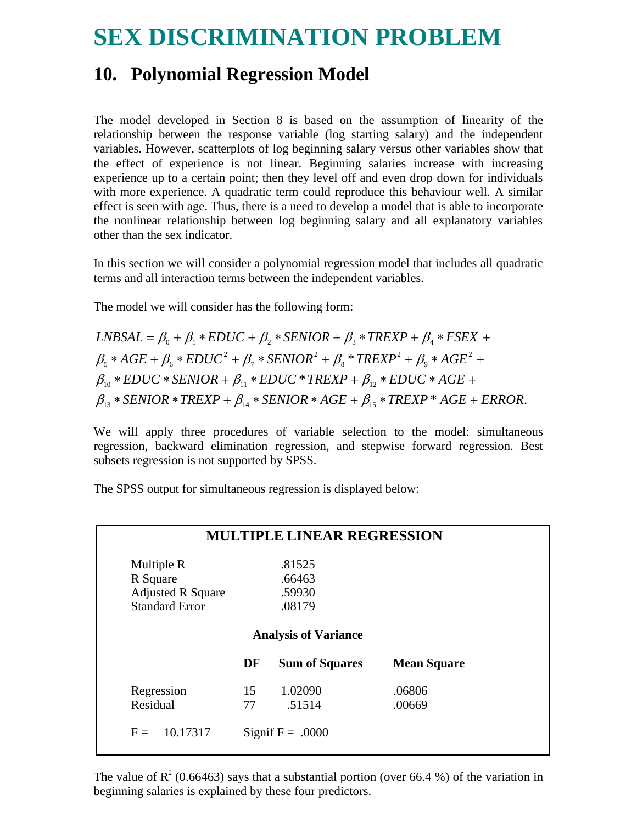## **SEX DISCRIMINATION PROBLEM**

## **10. Polynomial Regression Model**

The model developed in Section 8 is based on the assumption of linearity of the relationship between the response variable (log starting salary) and the independent variables. However, scatterplots of log beginning salary versus other variables show that the effect of experience is not linear. Beginning salaries increase with increasing experience up to a certain point; then they level off and even drop down for individuals with more experience. A quadratic term could reproduce this behaviour well. A similar effect is seen with age. Thus, there is a need to develop a model that is able to incorporate the nonlinear relationship between log beginning salary and all explanatory variables other than the sex indicator.

In this section we will consider a polynomial regression model that includes all quadratic terms and all interaction terms between the independent variables.

The model we will consider has the following form:

 $\beta_{13}$  \* SENIOR \* TREXP +  $\beta_{14}$  \* SENIOR \* AGE +  $\beta_{15}$  \* TREXP \* AGE + ERROR.  $\beta_{10} * EDUC * SENIOR + \beta_{11} * EDUC * TREXP + \beta_{12} * EDUC *AGE +$ \*  $TREXP^2 + \beta_9 * AGE^2$ 9 2 8 2 7 2  $\beta_{5}$  \* AGE +  $\beta_{6}$  \* EDUC<sup>2</sup> +  $\beta_{7}$  \* SENIOR<sup>2</sup> +  $\beta_{8}$  \* TREXP<sup>2</sup> +  $\beta_{9}$  \* AGE<sup>2</sup> +  $LNBSAL = \beta_0 + \beta_1 * EDUC + \beta_2 * SENIOR + \beta_3 * TREXP + \beta_4 * FSEX + \beta_5 * TREXP + \beta_6 * FSEX + \beta_7 * TREXP + \beta_8 * TREXP + \beta_9 * TREXP + \beta_{10} * TREXP + \beta_{11} * TREXP + \beta_{12} * TREXP + \beta_{13} * TREXP + \beta_{14} * TREX + \beta_{15} * TREX + \beta_{16} * TREX + \beta_{17} * TREX + \beta_{18} * TREX + \beta_{19} * TREX + \beta_{10} * TREX + \beta_{11} * TREX + \$ 

We will apply three procedures of variable selection to the model: simultaneous regression, backward elimination regression, and stepwise forward regression. Best subsets regression is not supported by SPSS.

The SPSS output for simultaneous regression is displayed below:

| <b>MULTIPLE LINEAR REGRESSION</b> |    |                                                      |                    |  |  |  |  |
|-----------------------------------|----|------------------------------------------------------|--------------------|--|--|--|--|
| Multiple R                        |    | .81525                                               |                    |  |  |  |  |
| R Square                          |    | .66463                                               |                    |  |  |  |  |
| <b>Adjusted R Square</b>          |    | .59930                                               |                    |  |  |  |  |
| <b>Standard Error</b>             |    | .08179                                               |                    |  |  |  |  |
|                                   | DF | <b>Analysis of Variance</b><br><b>Sum of Squares</b> | <b>Mean Square</b> |  |  |  |  |
| Regression                        | 15 | 1.02090                                              | .06806             |  |  |  |  |
| Residual                          | 77 | .51514                                               | .00669             |  |  |  |  |
| 10.17317<br>$F =$                 |    | Signif $F = .0000$                                   |                    |  |  |  |  |

The value of  $R^2$  (0.66463) says that a substantial portion (over 66.4 %) of the variation in beginning salaries is explained by these four predictors.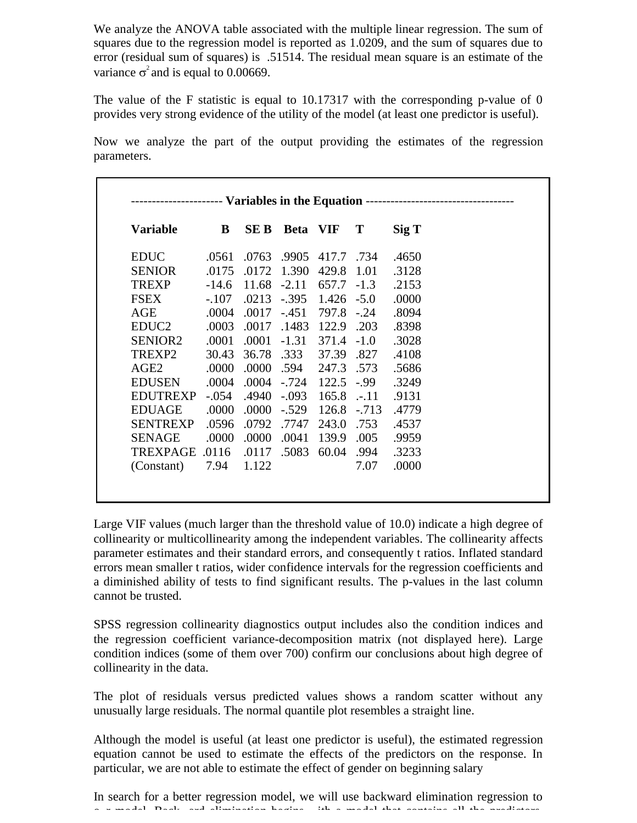We analyze the ANOVA table associated with the multiple linear regression. The sum of squares due to the regression model is reported as 1.0209, and the sum of squares due to error (residual sum of squares) is .51514. The residual mean square is an estimate of the variance  $\sigma^2$  and is equal to 0.00669.

The value of the F statistic is equal to  $10.17317$  with the corresponding p-value of 0 provides very strong evidence of the utility of the model (at least one predictor is useful).

Now we analyze the part of the output providing the estimates of the regression parameters.

| <b>Variable</b>     | B       | <b>SEB</b> | Beta VIF |               | T       | Sig T |
|---------------------|---------|------------|----------|---------------|---------|-------|
| <b>EDUC</b>         | .0561   | .0763      | .9905    | 417.7         | .734    | .4650 |
| <b>SENIOR</b>       | .0175   | .0172      | 1.390    | 429.8         | 1.01    | .3128 |
| <b>TREXP</b>        | $-14.6$ | 11.68      | $-2.11$  | 657.7         | $-1.3$  | .2153 |
| <b>FSEX</b>         | $-.107$ | .0213      | $-.395$  | $1.426 - 5.0$ |         | .0000 |
| AGE                 | .0004   | .0017      | $-.451$  | 797.8         | $-.24$  | .8094 |
| EDUC <sub>2</sub>   | .0003   | .0017      | .1483    | 122.9 .203    |         | .8398 |
| SENIOR <sub>2</sub> | .0001   | .0001      | $-1.31$  | $371.4 -1.0$  |         | .3028 |
| TREXP2              | 30.43   | 36.78      | .333     | 37.39         | .827    | .4108 |
| AGE <sub>2</sub>    | .0000   | .0000      | .594     | 247.3 .573    |         | .5686 |
| <b>EDUSEN</b>       | .0004   | .0004      | $-.724$  | 122.5         | $-0.99$ | .3249 |
| <b>EDUTREXP</b>     | $-.054$ | .4940      | $-.093$  | 165.8         | $-.11$  | .9131 |
| <b>EDUAGE</b>       | .0000   | .0000      | $-.529$  | 126.8         | $-.713$ | .4779 |
| <b>SENTREXP</b>     | .0596   | .0792      | .7747    | 243.0         | .753    | .4537 |
| <b>SENAGE</b>       | .0000   | .0000      | .0041    | 139.9         | .005    | .9959 |
| <b>TREXPAGE</b>     | .0116   | .0117      | .5083    | 60.04         | .994    | .3233 |
| (Constant)          | 7.94    | 1.122      |          |               | 7.07    | .0000 |

Large VIF values (much larger than the threshold value of 10.0) indicate a high degree of collinearity or multicollinearity among the independent variables. The collinearity affects parameter estimates and their standard errors, and consequently t ratios. Inflated standard errors mean smaller t ratios, wider confidence intervals for the regression coefficients and a diminished ability of tests to find significant results. The p-values in the last column cannot be trusted.

SPSS regression collinearity diagnostics output includes also the condition indices and the regression coefficient variance-decomposition matrix (not displayed here). Large condition indices (some of them over 700) confirm our conclusions about high degree of collinearity in the data.

The plot of residuals versus predicted values shows a random scatter without any unusually large residuals. The normal quantile plot resembles a straight line.

Although the model is useful (at least one predictor is useful), the estimated regression equation cannot be used to estimate the effects of the predictors on the response. In particular, we are not able to estimate the effect of gender on beginning salary

In search for a better regression model, we will use backward elimination regression to o remains it for the contact the limit and that contains it is model that contains all the predictors all the p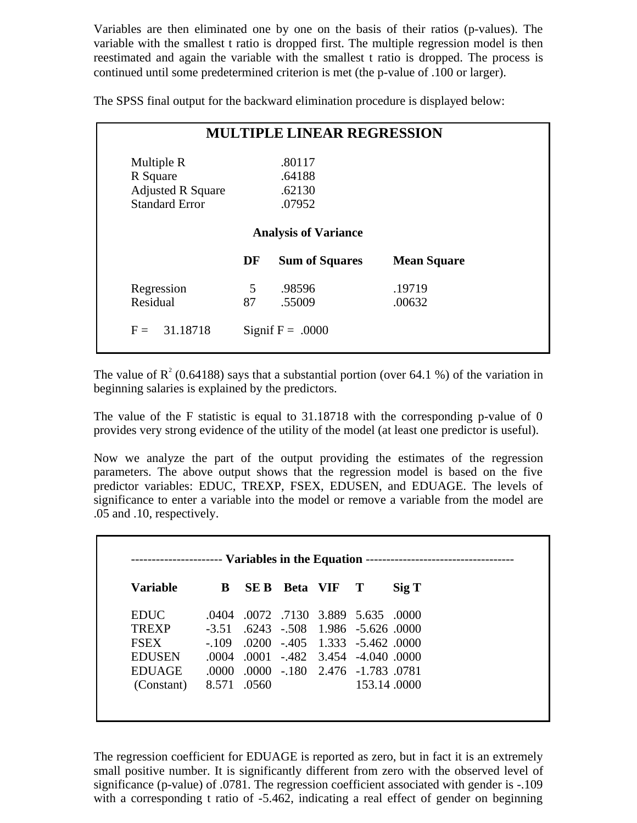Variables are then eliminated one by one on the basis of their ratios (p-values). The variable with the smallest t ratio is dropped first. The multiple regression model is then reestimated and again the variable with the smallest t ratio is dropped. The process is continued until some predetermined criterion is met (the p-value of .100 or larger).

The SPSS final output for the backward elimination procedure is displayed below:

| <b>MULTIPLE LINEAR REGRESSION</b>                  |                                 |                            |                    |  |  |  |  |  |
|----------------------------------------------------|---------------------------------|----------------------------|--------------------|--|--|--|--|--|
| Multiple R<br>R Square<br><b>Adjusted R Square</b> |                                 | .80117<br>.64188<br>.62130 |                    |  |  |  |  |  |
|                                                    | <b>Standard Error</b><br>.07952 |                            |                    |  |  |  |  |  |
| <b>Analysis of Variance</b>                        |                                 |                            |                    |  |  |  |  |  |
|                                                    | DF                              | <b>Sum of Squares</b>      | <b>Mean Square</b> |  |  |  |  |  |
| Regression                                         | 5                               | .98596                     | .19719             |  |  |  |  |  |
| Residual                                           | 87                              | .55009                     | .00632             |  |  |  |  |  |
| $F = 31.18718$                                     |                                 | Signif $F = .0000$         |                    |  |  |  |  |  |

The value of  $R^2$  (0.64188) says that a substantial portion (over 64.1 %) of the variation in beginning salaries is explained by the predictors.

The value of the F statistic is equal to 31.18718 with the corresponding p-value of 0 provides very strong evidence of the utility of the model (at least one predictor is useful).

Now we analyze the part of the output providing the estimates of the regression parameters. The above output shows that the regression model is based on the five predictor variables: EDUC, TREXP, FSEX, EDUSEN, and EDUAGE. The levels of significance to enter a variable into the model or remove a variable from the model are .05 and .10, respectively.

| Variable      | B       | SE B  | <b>Beta</b> VIF | $\mathbf{T}$                    | $\mathrm{Sig} \mathrm{T}$ |
|---------------|---------|-------|-----------------|---------------------------------|---------------------------|
| <b>EDUC</b>   | .0404   |       |                 | 0072 7130 3.889 5.635 0000      |                           |
| <b>TREXP</b>  | $-3.51$ |       |                 | .6243 -.508 1.986 -5.626 .0000  |                           |
| <b>FSEX</b>   | $-109$  |       |                 | 0000. 5.462. 6200 -.405. 1.333. |                           |
| <b>EDUSEN</b> | .0004   |       |                 | 0000. 001 -.482 3.454 -4.040.   |                           |
| <b>EDUAGE</b> | -0000-  |       |                 | .0000 - 180 2.476 - 1.783 0781  |                           |
| (Constant)    | 8.571   | .0560 |                 | 153.14.0000                     |                           |

The regression coefficient for EDUAGE is reported as zero, but in fact it is an extremely small positive number. It is significantly different from zero with the observed level of significance (p-value) of .0781. The regression coefficient associated with gender is -.109 with a corresponding t ratio of -5.462, indicating a real effect of gender on beginning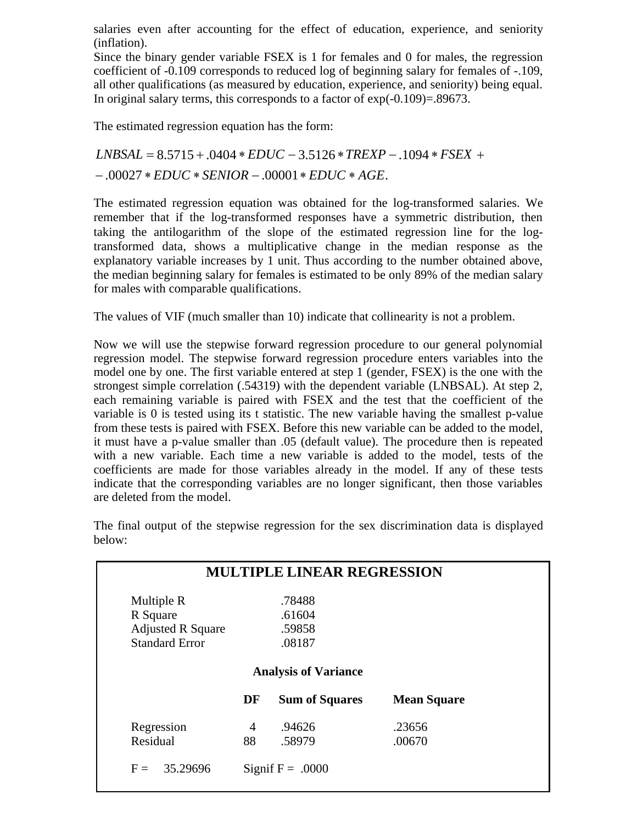salaries even after accounting for the effect of education, experience, and seniority (inflation).

Since the binary gender variable FSEX is 1 for females and 0 for males, the regression coefficient of -0.109 corresponds to reduced log of beginning salary for females of -.109, all other qualifications (as measured by education, experience, and seniority) being equal. In original salary terms, this corresponds to a factor of exp(-0.109)=.89673.

The estimated regression equation has the form:

 $-.00027 * EDUC * SENIOR - .00001 * EDUC * AGE.$  $LNBSAL = 8.5715 + .0404 * EDUC - 3.5126 * TREXP - .1094 * FSEX +$ 

The estimated regression equation was obtained for the log-transformed salaries. We remember that if the log-transformed responses have a symmetric distribution, then taking the antilogarithm of the slope of the estimated regression line for the logtransformed data, shows a multiplicative change in the median response as the explanatory variable increases by 1 unit. Thus according to the number obtained above, the median beginning salary for females is estimated to be only 89% of the median salary for males with comparable qualifications.

The values of VIF (much smaller than 10) indicate that collinearity is not a problem.

Now we will use the stepwise forward regression procedure to our general polynomial regression model. The stepwise forward regression procedure enters variables into the model one by one. The first variable entered at step 1 (gender, FSEX) is the one with the strongest simple correlation (.54319) with the dependent variable (LNBSAL). At step 2, each remaining variable is paired with FSEX and the test that the coefficient of the variable is 0 is tested using its t statistic. The new variable having the smallest p-value from these tests is paired with FSEX. Before this new variable can be added to the model, it must have a p-value smaller than .05 (default value). The procedure then is repeated with a new variable. Each time a new variable is added to the model, tests of the coefficients are made for those variables already in the model. If any of these tests indicate that the corresponding variables are no longer significant, then those variables are deleted from the model.

|                          |    | <b>MULTIPLE LINEAR REGRESSION</b> |                    |
|--------------------------|----|-----------------------------------|--------------------|
| Multiple R               |    | .78488                            |                    |
| R Square                 |    | .61604                            |                    |
| <b>Adjusted R Square</b> |    | .59858                            |                    |
| <b>Standard Error</b>    |    | .08187                            |                    |
|                          |    | <b>Analysis of Variance</b>       |                    |
|                          | DF | <b>Sum of Squares</b>             | <b>Mean Square</b> |
| Regression               | 4  | .94626                            | .23656             |
| Residual                 | 88 | .58979                            | .00670             |
| 35.29696<br>$F =$        |    | Signif $F = .0000$                |                    |

The final output of the stepwise regression for the sex discrimination data is displayed below: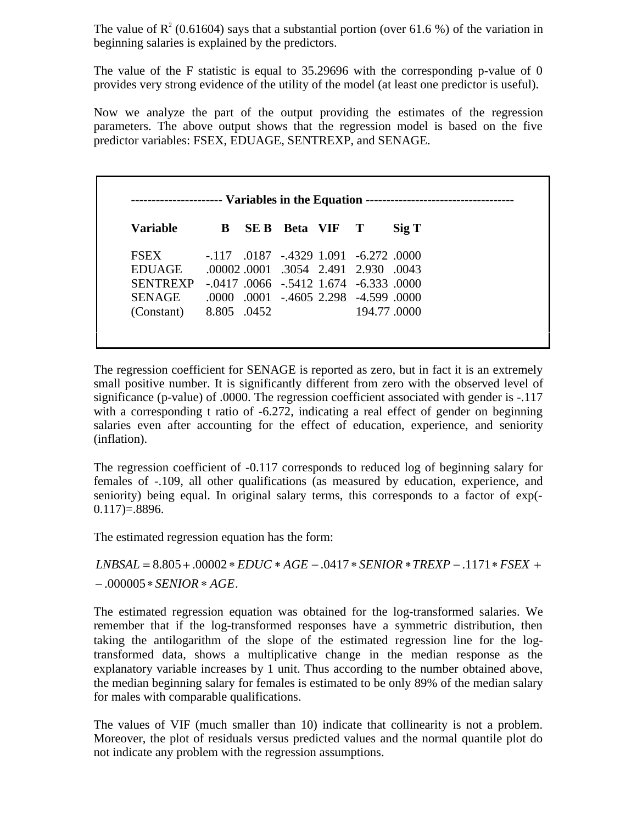The value of  $R^2$  (0.61604) says that a substantial portion (over 61.6 %) of the variation in beginning salaries is explained by the predictors.

The value of the F statistic is equal to 35.29696 with the corresponding p-value of 0 provides very strong evidence of the utility of the model (at least one predictor is useful).

Now we analyze the part of the output providing the estimates of the regression parameters. The above output shows that the regression model is based on the five predictor variables: FSEX, EDUAGE, SENTREXP, and SENAGE.

| Variable        | B.          | SE B | Beta VIF T |                                                     | $\mathrm{Sig} \mathrm{T}$ |
|-----------------|-------------|------|------------|-----------------------------------------------------|---------------------------|
| <b>FSEX</b>     |             |      |            | $-117$ $0187$ $-4329$ $1.091$ $-6.272$ $0000$       |                           |
| <b>EDUAGE</b>   |             |      |            | .00002.0001.3054 2.491 2.930.0043                   |                           |
| <b>SENTREXP</b> |             |      |            | $-.0417$ $.0066$ $-.5412$ $1.674$ $-.6.333$ $.0000$ |                           |
| <b>SENAGE</b>   |             |      |            | .0000 .0001 .4605 2.298 .4.599 .0000                |                           |
| (Constant)      | 8.805 .0452 |      |            | 194.77.0000                                         |                           |

The regression coefficient for SENAGE is reported as zero, but in fact it is an extremely small positive number. It is significantly different from zero with the observed level of significance (p-value) of .0000. The regression coefficient associated with gender is -.117 with a corresponding t ratio of -6.272, indicating a real effect of gender on beginning salaries even after accounting for the effect of education, experience, and seniority (inflation).

The regression coefficient of -0.117 corresponds to reduced log of beginning salary for females of -.109, all other qualifications (as measured by education, experience, and seniority) being equal. In original salary terms, this corresponds to a factor of exp(-  $0.117 = 8896.$ 

The estimated regression equation has the form:

## $-.000005 *$ *SENIOR*  $*$ *AGE*.  $LNBSAL = 8.805 + .00002 * EDUC * AGE - .0417 * SENIOR * TREXP - .1171 * FSEX +$

The estimated regression equation was obtained for the log-transformed salaries. We remember that if the log-transformed responses have a symmetric distribution, then taking the antilogarithm of the slope of the estimated regression line for the logtransformed data, shows a multiplicative change in the median response as the explanatory variable increases by 1 unit. Thus according to the number obtained above, the median beginning salary for females is estimated to be only 89% of the median salary for males with comparable qualifications.

The values of VIF (much smaller than 10) indicate that collinearity is not a problem. Moreover, the plot of residuals versus predicted values and the normal quantile plot do not indicate any problem with the regression assumptions.